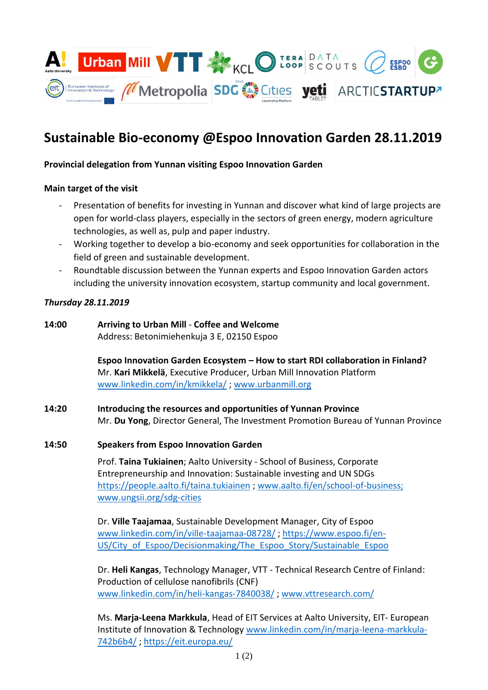

# **Sustainable Bio-economy @Espoo Innovation Garden 28.11.2019**

# **Provincial delegation from Yunnan visiting Espoo Innovation Garden**

#### **Main target of the visit**

- Presentation of benefits for investing in Yunnan and discover what kind of large projects are open for world-class players, especially in the sectors of green energy, modern agriculture technologies, as well as, pulp and paper industry.
- Working together to develop a bio-economy and seek opportunities for collaboration in the field of green and sustainable development.
- Roundtable discussion between the Yunnan experts and Espoo Innovation Garden actors including the university innovation ecosystem, startup community and local government.

#### *Thursday 28.11.2019*

#### **14:00 Arriving to Urban Mill** - **Coffee and Welcome** Address: Betonimiehenkuja 3 E, 02150 Espoo

**Espoo Innovation Garden Ecosystem – How to start RDI collaboration in Finland?** Mr. **Kari Mikkelä**, Executive Producer, Urban Mill Innovation Platform [www.linkedin.com/in/kmikkela/](http://www.linkedin.com/in/kmikkela/) ; [www.urbanmill.org](http://www.urbanmill.org/)

# **14:20 Introducing the resources and opportunities of Yunnan Province** Mr. **Du Yong**, Director General, The Investment Promotion Bureau of Yunnan Province

# **14:50 Speakers from Espoo Innovation Garden**

Prof. **Taina Tukiainen**; Aalto University - School of Business, Corporate Entrepreneurship and Innovation: Sustainable investing and UN SDGs <https://people.aalto.fi/taina.tukiainen> ; [www.aalto.fi/en/school-of-business;](http://www.aalto.fi/en/school-of-business) [www.ungsii.org/sdg-cities](http://www.ungsii.org/sdg-cities)

Dr. **Ville Taajamaa**, Sustainable Development Manager, City of Espoo [www.linkedin.com/in/ville-taajamaa-08728/](http://www.linkedin.com/in/ville-taajamaa-08728/) [; https://www.espoo.fi/en-](https://www.espoo.fi/en-US/City_of_Espoo/Decisionmaking/The_Espoo_Story/Sustainable_Espoo)[US/City\\_of\\_Espoo/Decisionmaking/The\\_Espoo\\_Story/Sustainable\\_Espoo](https://www.espoo.fi/en-US/City_of_Espoo/Decisionmaking/The_Espoo_Story/Sustainable_Espoo)

Dr. **Heli Kangas**, Technology Manager, VTT - Technical Research Centre of Finland: Production of cellulose nanofibrils (CNF) [www.linkedin.com/in/heli-kangas-7840038/](http://www.linkedin.com/in/heli-kangas-7840038/) ; [www.vttresearch.com/](http://www.vttresearch.com/)

Ms. **Marja-Leena Markkula**, Head of EIT Services at Aalto University, EIT- European Institute of Innovation & Technology [www.linkedin.com/in/marja-leena-markkula-](http://www.linkedin.com/in/marja-leena-markkula-742b6b4/)[742b6b4/](http://www.linkedin.com/in/marja-leena-markkula-742b6b4/) ;<https://eit.europa.eu/>